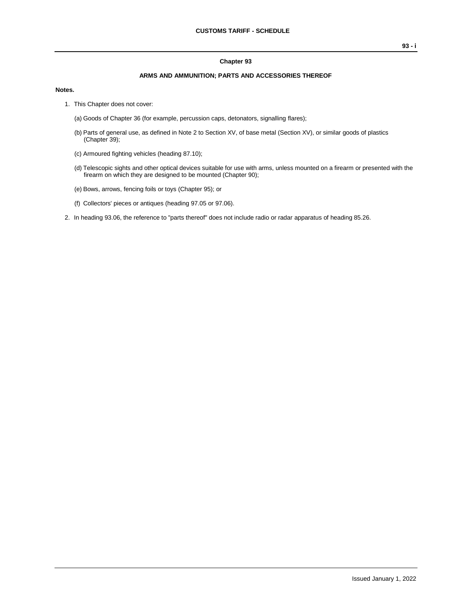#### **Chapter 93**

### **ARMS AND AMMUNITION; PARTS AND ACCESSORIES THEREOF**

#### **Notes.**

- 1. This Chapter does not cover:
	- (a) Goods of Chapter 36 (for example, percussion caps, detonators, signalling flares);
	- (b) Parts of general use, as defined in Note 2 to Section XV, of base metal (Section XV), or similar goods of plastics (Chapter 39);
	- (c) Armoured fighting vehicles (heading 87.10);
	- (d) Telescopic sights and other optical devices suitable for use with arms, unless mounted on a firearm or presented with the firearm on which they are designed to be mounted (Chapter 90);
	- (e) Bows, arrows, fencing foils or toys (Chapter 95); or
	- (f) Collectors' pieces or antiques (heading 97.05 or 97.06).
- 2. In heading 93.06, the reference to "parts thereof" does not include radio or radar apparatus of heading 85.26.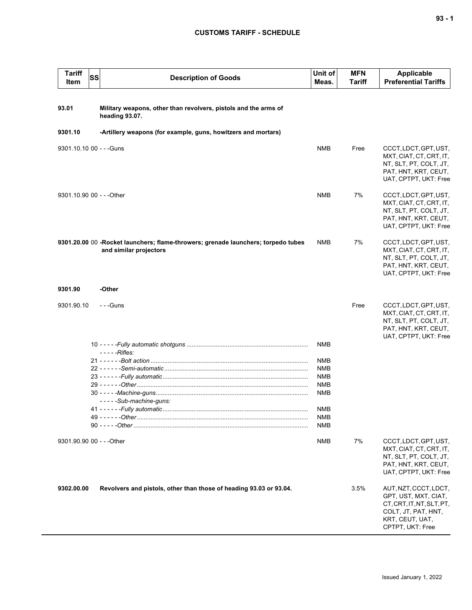## **CUSTOMS TARIFF - SCHEDULE**

| <b>Tariff</b><br>SS<br>Item | <b>Description of Goods</b>                                                                                 | Unit of<br>Meas.                                                                        | <b>MFN</b><br><b>Tariff</b> | <b>Applicable</b><br><b>Preferential Tariffs</b>                                                                                         |
|-----------------------------|-------------------------------------------------------------------------------------------------------------|-----------------------------------------------------------------------------------------|-----------------------------|------------------------------------------------------------------------------------------------------------------------------------------|
| 93.01                       | Military weapons, other than revolvers, pistols and the arms of<br>heading 93.07.                           |                                                                                         |                             |                                                                                                                                          |
| 9301.10                     | -Artillery weapons (for example, guns, howitzers and mortars)                                               |                                                                                         |                             |                                                                                                                                          |
| 9301.10.10 00 - - - Guns    |                                                                                                             | NMB                                                                                     | Free                        | CCCT, LDCT, GPT, UST,<br>MXT, CIAT, CT, CRT, IT,<br>NT, SLT, PT, COLT, JT,<br>PAT, HNT, KRT, CEUT,<br>UAT, CPTPT, UKT: Free              |
| 9301.10.90 00 - - - Other   |                                                                                                             | <b>NMB</b>                                                                              | 7%                          | CCCT, LDCT, GPT, UST,<br>MXT, CIAT, CT, CRT, IT,<br>NT, SLT, PT, COLT, JT,<br>PAT, HNT, KRT, CEUT,<br>UAT, CPTPT, UKT: Free              |
|                             | 9301.20.00 00 -Rocket launchers; flame-throwers; grenade launchers; torpedo tubes<br>and similar projectors | <b>NMB</b>                                                                              | 7%                          | CCCT, LDCT, GPT, UST,<br>MXT, CIAT, CT, CRT, IT,<br>NT, SLT, PT, COLT, JT,<br>PAT, HNT, KRT, CEUT,<br>UAT, CPTPT, UKT: Free              |
| 9301.90                     | -Other                                                                                                      |                                                                                         |                             |                                                                                                                                          |
| 9301.90.10                  | $- -$ Guns                                                                                                  |                                                                                         | Free                        | CCCT, LDCT, GPT, UST,<br>MXT, CIAT, CT, CRT, IT,<br>NT, SLT, PT, COLT, JT,<br>PAT, HNT, KRT, CEUT,<br>UAT, CPTPT, UKT: Free              |
|                             | $- -Rifles:$                                                                                                | <b>NMB</b>                                                                              |                             |                                                                                                                                          |
|                             | -----Sub-machine-guns:                                                                                      | <b>NMB</b><br><b>NMB</b><br><b>NMB</b><br><b>NMB</b><br><b>NMB</b><br><b>NMB</b><br>NMB |                             |                                                                                                                                          |
|                             |                                                                                                             | NMB                                                                                     |                             |                                                                                                                                          |
| 9301.90.90 00 - - - Other   |                                                                                                             | NMB                                                                                     | 7%                          | CCCT, LDCT, GPT, UST,<br>MXT, CIAT, CT, CRT, IT,<br>NT, SLT, PT, COLT, JT,<br>PAT, HNT, KRT, CEUT,<br>UAT, CPTPT, UKT: Free              |
| 9302.00.00                  | Revolvers and pistols, other than those of heading 93.03 or 93.04.                                          |                                                                                         | 3.5%                        | AUT, NZT, CCCT, LDCT,<br>GPT, UST, MXT, CIAT,<br>CT, CRT, IT, NT, SLT, PT,<br>COLT, JT, PAT, HNT,<br>KRT, CEUT, UAT,<br>CPTPT, UKT: Free |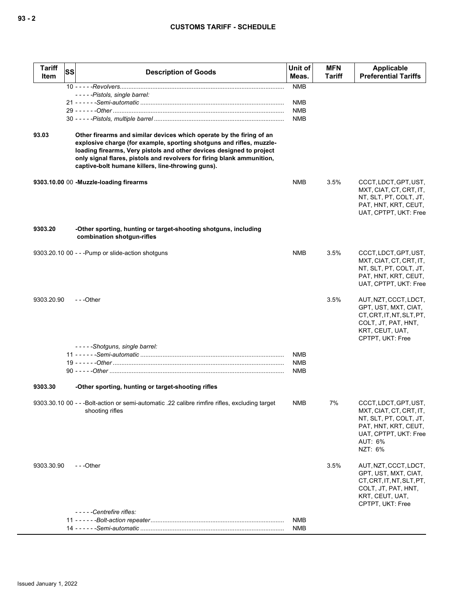### **CUSTOMS TARIFF - SCHEDULE**

| <b>Tariff</b><br>Item | SS | <b>Description of Goods</b>                                                                                                                                                                                                                                                                                                                         | Unit of<br>Meas.         | <b>MFN</b><br><b>Tariff</b> | Applicable<br><b>Preferential Tariffs</b>                                                                                                         |
|-----------------------|----|-----------------------------------------------------------------------------------------------------------------------------------------------------------------------------------------------------------------------------------------------------------------------------------------------------------------------------------------------------|--------------------------|-----------------------------|---------------------------------------------------------------------------------------------------------------------------------------------------|
|                       |    |                                                                                                                                                                                                                                                                                                                                                     | <b>NMB</b>               |                             |                                                                                                                                                   |
|                       |    | -----Pistols, single barrel:                                                                                                                                                                                                                                                                                                                        | <b>NMB</b>               |                             |                                                                                                                                                   |
|                       |    |                                                                                                                                                                                                                                                                                                                                                     | <b>NMB</b>               |                             |                                                                                                                                                   |
|                       |    |                                                                                                                                                                                                                                                                                                                                                     | <b>NMB</b>               |                             |                                                                                                                                                   |
| 93.03                 |    | Other firearms and similar devices which operate by the firing of an<br>explosive charge (for example, sporting shotguns and rifles, muzzle-<br>loading firearms, Very pistols and other devices designed to project<br>only signal flares, pistols and revolvers for firing blank ammunition,<br>captive-bolt humane killers, line-throwing guns). |                          |                             |                                                                                                                                                   |
|                       |    | 9303.10.00 00 -Muzzle-loading firearms                                                                                                                                                                                                                                                                                                              | <b>NMB</b>               | 3.5%                        | CCCT, LDCT, GPT, UST,<br>MXT, CIAT, CT, CRT, IT,<br>NT, SLT, PT, COLT, JT,<br>PAT, HNT, KRT, CEUT,<br>UAT, CPTPT, UKT: Free                       |
| 9303.20               |    | -Other sporting, hunting or target-shooting shotguns, including<br>combination shotgun-rifles                                                                                                                                                                                                                                                       |                          |                             |                                                                                                                                                   |
|                       |    | 9303.20.10 00 - - - Pump or slide-action shotguns                                                                                                                                                                                                                                                                                                   | <b>NMB</b>               | 3.5%                        | CCCT, LDCT, GPT, UST,<br>MXT, CIAT, CT, CRT, IT,<br>NT, SLT, PT, COLT, JT,<br>PAT, HNT, KRT, CEUT,<br>UAT, CPTPT, UKT: Free                       |
| 9303.20.90            |    | $- -$ Other                                                                                                                                                                                                                                                                                                                                         |                          | 3.5%                        | AUT, NZT, CCCT, LDCT,<br>GPT, UST, MXT, CIAT,<br>CT, CRT, IT, NT, SLT, PT,<br>COLT, JT, PAT, HNT,<br>KRT, CEUT, UAT,<br>CPTPT, UKT: Free          |
|                       |    | -----Shotguns, single barrel:                                                                                                                                                                                                                                                                                                                       |                          |                             |                                                                                                                                                   |
|                       |    |                                                                                                                                                                                                                                                                                                                                                     | <b>NMB</b>               |                             |                                                                                                                                                   |
|                       |    |                                                                                                                                                                                                                                                                                                                                                     | <b>NMB</b><br><b>NMB</b> |                             |                                                                                                                                                   |
| 9303.30               |    | -Other sporting, hunting or target-shooting rifles                                                                                                                                                                                                                                                                                                  |                          |                             |                                                                                                                                                   |
|                       |    | 9303.30.10 00 - - -Bolt-action or semi-automatic .22 calibre rimfire rifles, excluding target<br>shooting rifles                                                                                                                                                                                                                                    | <b>NMB</b>               | 7%                          | CCCT, LDCT, GPT, UST,<br>MXT, CIAT, CT, CRT, IT,<br>NT, SLT, PT, COLT, JT,<br>PAT, HNT, KRT, CEUT,<br>UAT, CPTPT, UKT: Free<br>AUT: 6%<br>NZT: 6% |
| 9303.30.90            |    | $- -$ Other                                                                                                                                                                                                                                                                                                                                         |                          | 3.5%                        | AUT, NZT, CCCT, LDCT,<br>GPT, UST, MXT, CIAT,<br>CT, CRT, IT, NT, SLT, PT,<br>COLT, JT, PAT, HNT,<br>KRT, CEUT, UAT,<br>CPTPT, UKT: Free          |
|                       |    | -----Centrefire rifles:                                                                                                                                                                                                                                                                                                                             |                          |                             |                                                                                                                                                   |
|                       |    |                                                                                                                                                                                                                                                                                                                                                     | NMB<br>NMB               |                             |                                                                                                                                                   |
|                       |    |                                                                                                                                                                                                                                                                                                                                                     |                          |                             |                                                                                                                                                   |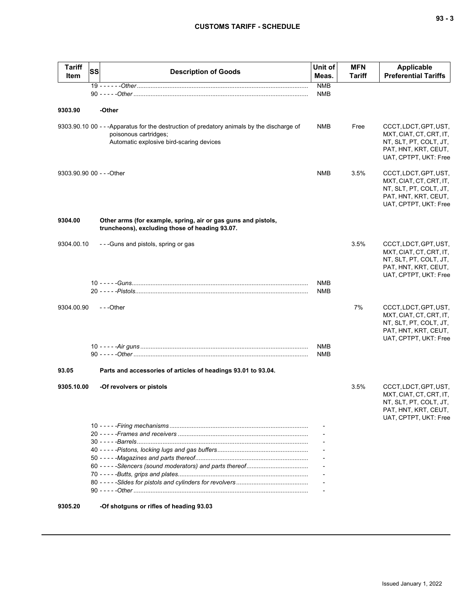| <b>Tariff</b><br>Item     | <b>SS</b> | <b>Description of Goods</b>                                                                                                                                     | Unit of<br>Meas.         | <b>MFN</b><br>Tariff | <b>Applicable</b><br><b>Preferential Tariffs</b>                                                                            |
|---------------------------|-----------|-----------------------------------------------------------------------------------------------------------------------------------------------------------------|--------------------------|----------------------|-----------------------------------------------------------------------------------------------------------------------------|
|                           |           |                                                                                                                                                                 | <b>NMB</b><br><b>NMB</b> |                      |                                                                                                                             |
|                           |           |                                                                                                                                                                 |                          |                      |                                                                                                                             |
| 9303.90                   |           | -Other                                                                                                                                                          |                          |                      |                                                                                                                             |
|                           |           | 9303.90.10 00 - - - Apparatus for the destruction of predatory animals by the discharge of<br>poisonous cartridges;<br>Automatic explosive bird-scaring devices | <b>NMB</b>               | Free                 | CCCT, LDCT, GPT, UST,<br>MXT, CIAT, CT, CRT, IT,<br>NT, SLT, PT, COLT, JT,<br>PAT, HNT, KRT, CEUT,<br>UAT, CPTPT, UKT: Free |
| 9303.90.90 00 - - - Other |           |                                                                                                                                                                 | <b>NMB</b>               | 3.5%                 | CCCT, LDCT, GPT, UST,<br>MXT, CIAT, CT, CRT, IT,<br>NT, SLT, PT, COLT, JT,<br>PAT, HNT, KRT, CEUT,<br>UAT, CPTPT, UKT: Free |
| 9304.00                   |           | Other arms (for example, spring, air or gas guns and pistols,<br>truncheons), excluding those of heading 93.07.                                                 |                          |                      |                                                                                                                             |
| 9304.00.10                |           | - - - Guns and pistols, spring or gas                                                                                                                           |                          | 3.5%                 | CCCT, LDCT, GPT, UST,<br>MXT, CIAT, CT, CRT, IT,<br>NT, SLT, PT, COLT, JT,<br>PAT, HNT, KRT, CEUT,<br>UAT, CPTPT, UKT: Free |
|                           |           |                                                                                                                                                                 | <b>NMB</b>               |                      |                                                                                                                             |
|                           |           |                                                                                                                                                                 | <b>NMB</b>               |                      |                                                                                                                             |
| 9304.00.90                |           | $- -$ Other                                                                                                                                                     |                          | 7%                   | CCCT, LDCT, GPT, UST,<br>MXT, CIAT, CT, CRT, IT,<br>NT, SLT, PT, COLT, JT,<br>PAT, HNT, KRT, CEUT,<br>UAT, CPTPT, UKT: Free |
|                           |           |                                                                                                                                                                 | <b>NMB</b><br><b>NMB</b> |                      |                                                                                                                             |
| 93.05                     |           | Parts and accessories of articles of headings 93.01 to 93.04.                                                                                                   |                          |                      |                                                                                                                             |
| 9305.10.00                |           | -Of revolvers or pistols                                                                                                                                        |                          | 3.5%                 | CCCT, LDCT, GPT, UST,<br>MXT, CIAT, CT, CRT, IT,<br>NT, SLT, PT, COLT, JT,<br>PAT, HNT, KRT, CEUT,<br>UAT, CPTPT, UKT: Free |
|                           |           |                                                                                                                                                                 |                          |                      |                                                                                                                             |
|                           |           |                                                                                                                                                                 |                          |                      |                                                                                                                             |
|                           |           |                                                                                                                                                                 |                          |                      |                                                                                                                             |
|                           |           |                                                                                                                                                                 |                          |                      |                                                                                                                             |
|                           |           |                                                                                                                                                                 |                          |                      |                                                                                                                             |
|                           |           |                                                                                                                                                                 |                          |                      |                                                                                                                             |
|                           |           |                                                                                                                                                                 |                          |                      |                                                                                                                             |
| 090E 90                   |           | 00.00 methodol ka aalku na aminadada                                                                                                                            |                          |                      |                                                                                                                             |

**9305.20 -Of shotguns or rifles of heading 93.03**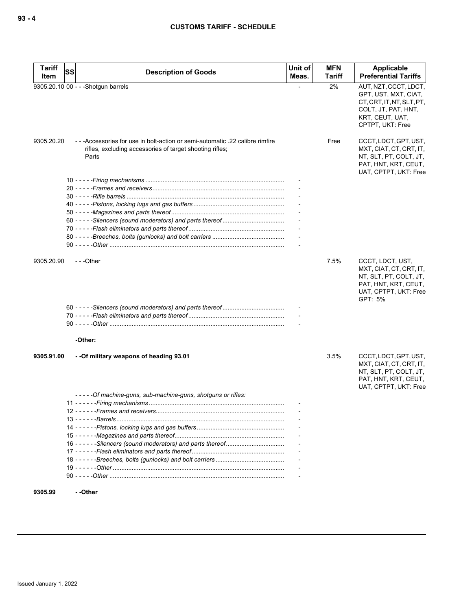| <b>Tariff</b><br>Item | SS | <b>Description of Goods</b>                                                                                                                        | Unit of<br>Meas. | <b>MFN</b><br><b>Tariff</b> | Applicable<br><b>Preferential Tariffs</b>                                                                                                |
|-----------------------|----|----------------------------------------------------------------------------------------------------------------------------------------------------|------------------|-----------------------------|------------------------------------------------------------------------------------------------------------------------------------------|
|                       |    | 9305.20.10 00 - - - Shotgun barrels                                                                                                                |                  | 2%                          | AUT, NZT, CCCT, LDCT,<br>GPT, UST, MXT, CIAT,<br>CT, CRT, IT, NT, SLT, PT,<br>COLT, JT, PAT, HNT,<br>KRT, CEUT, UAT,<br>CPTPT, UKT: Free |
| 9305.20.20            |    | -- - Accessories for use in bolt-action or semi-automatic .22 calibre rimfire<br>rifles, excluding accessories of target shooting rifles;<br>Parts |                  | Free                        | CCCT, LDCT, GPT, UST,<br>MXT, CIAT, CT, CRT, IT,<br>NT, SLT, PT, COLT, JT,<br>PAT, HNT, KRT, CEUT,<br>UAT, CPTPT, UKT: Free              |
|                       |    |                                                                                                                                                    |                  |                             |                                                                                                                                          |
|                       |    |                                                                                                                                                    |                  |                             |                                                                                                                                          |
|                       |    |                                                                                                                                                    |                  |                             |                                                                                                                                          |
|                       |    |                                                                                                                                                    |                  |                             |                                                                                                                                          |
|                       |    |                                                                                                                                                    |                  |                             |                                                                                                                                          |
|                       |    |                                                                                                                                                    |                  |                             |                                                                                                                                          |
|                       |    |                                                                                                                                                    |                  |                             |                                                                                                                                          |
|                       |    |                                                                                                                                                    |                  |                             |                                                                                                                                          |
|                       |    |                                                                                                                                                    |                  |                             |                                                                                                                                          |
| 9305.20.90            |    | $- -$ Other                                                                                                                                        |                  | 7.5%                        | CCCT, LDCT, UST,<br>MXT, CIAT, CT, CRT, IT,<br>NT, SLT, PT, COLT, JT,<br>PAT, HNT, KRT, CEUT,<br>UAT, CPTPT, UKT: Free<br>GPT: 5%        |
|                       |    |                                                                                                                                                    |                  |                             |                                                                                                                                          |
|                       |    |                                                                                                                                                    |                  |                             |                                                                                                                                          |
|                       |    |                                                                                                                                                    |                  |                             |                                                                                                                                          |
|                       |    | -Other:                                                                                                                                            |                  |                             |                                                                                                                                          |
| 9305.91.00            |    | - - Of military weapons of heading 93.01                                                                                                           |                  | 3.5%                        | CCCT, LDCT, GPT, UST,<br>MXT, CIAT, CT, CRT, IT,<br>NT, SLT, PT, COLT, JT,<br>PAT, HNT, KRT, CEUT,<br>UAT, CPTPT, UKT: Free              |
|                       |    | -----Of machine-guns, sub-machine-guns, shotguns or rifles:                                                                                        |                  |                             |                                                                                                                                          |
|                       |    |                                                                                                                                                    |                  |                             |                                                                                                                                          |
|                       |    |                                                                                                                                                    |                  |                             |                                                                                                                                          |
|                       |    |                                                                                                                                                    |                  |                             |                                                                                                                                          |
|                       |    |                                                                                                                                                    |                  |                             |                                                                                                                                          |
|                       |    |                                                                                                                                                    |                  |                             |                                                                                                                                          |
|                       |    |                                                                                                                                                    |                  |                             |                                                                                                                                          |
|                       |    |                                                                                                                                                    |                  |                             |                                                                                                                                          |
|                       |    |                                                                                                                                                    |                  |                             |                                                                                                                                          |
|                       |    |                                                                                                                                                    |                  |                             |                                                                                                                                          |
|                       |    |                                                                                                                                                    |                  |                             |                                                                                                                                          |
|                       |    |                                                                                                                                                    |                  |                             |                                                                                                                                          |

**9305.99 - -Other**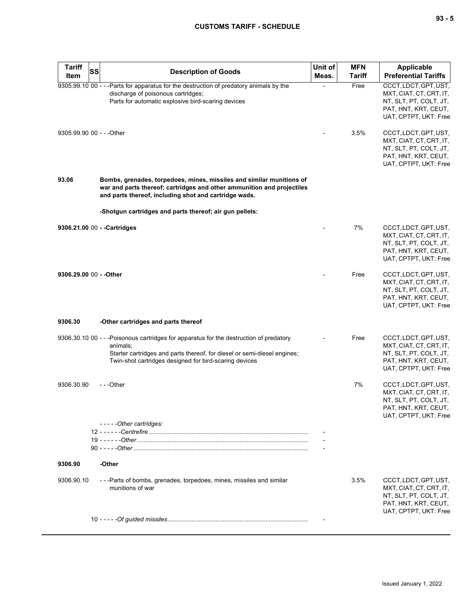# **CUSTOMS TARIFF - SCHEDULE**

| <b>Tariff</b><br>Item     | SS | <b>Description of Goods</b>                                                                                                                                                                                                               | Unit of<br>Meas. | <b>MFN</b><br><b>Tariff</b> | <b>Applicable</b><br><b>Preferential Tariffs</b>                                                                            |
|---------------------------|----|-------------------------------------------------------------------------------------------------------------------------------------------------------------------------------------------------------------------------------------------|------------------|-----------------------------|-----------------------------------------------------------------------------------------------------------------------------|
|                           |    | 9305.99.10 00 - - -Parts for apparatus for the destruction of predatory animals by the<br>discharge of poisonous cartridges;<br>Parts for automatic explosive bird-scaring devices                                                        |                  | Free                        | CCCT, LDCT, GPT, UST,<br>MXT, CIAT, CT, CRT, IT,<br>NT, SLT, PT, COLT, JT,<br>PAT, HNT, KRT, CEUT,<br>UAT, CPTPT, UKT: Free |
| 9305.99.90 00 - - - Other |    |                                                                                                                                                                                                                                           |                  | 3.5%                        | CCCT, LDCT, GPT, UST,<br>MXT, CIAT, CT, CRT, IT,<br>NT, SLT, PT, COLT, JT,<br>PAT, HNT, KRT, CEUT,<br>UAT, CPTPT, UKT: Free |
| 93.06                     |    | Bombs, grenades, torpedoes, mines, missiles and similar munitions of<br>war and parts thereof; cartridges and other ammunition and projectiles<br>and parts thereof, including shot and cartridge wads.                                   |                  |                             |                                                                                                                             |
|                           |    | -Shotgun cartridges and parts thereof; air gun pellets:                                                                                                                                                                                   |                  |                             |                                                                                                                             |
|                           |    | 9306.21.00 00 - - Cartridges                                                                                                                                                                                                              |                  | 7%                          | CCCT, LDCT, GPT, UST,<br>MXT, CIAT, CT, CRT, IT,<br>NT, SLT, PT, COLT, JT,<br>PAT, HNT, KRT, CEUT,<br>UAT, CPTPT, UKT: Free |
| 9306.29.00 00 - - Other   |    |                                                                                                                                                                                                                                           |                  | Free                        | CCCT, LDCT, GPT, UST,<br>MXT, CIAT, CT, CRT, IT,<br>NT, SLT, PT, COLT, JT,<br>PAT, HNT, KRT, CEUT,<br>UAT, CPTPT, UKT: Free |
| 9306.30                   |    | -Other cartridges and parts thereof                                                                                                                                                                                                       |                  |                             |                                                                                                                             |
|                           |    | 9306.30.10 00 - - - Poisonous cartridges for apparatus for the destruction of predatory<br>animals;<br>Starter cartridges and parts thereof, for diesel or semi-diesel engines;<br>Twin-shot cartridges designed for bird-scaring devices |                  | Free                        | CCCT, LDCT, GPT, UST,<br>MXT, CIAT, CT, CRT, IT,<br>NT, SLT, PT, COLT, JT,<br>PAT, HNT, KRT, CEUT,<br>UAT, CPTPT, UKT: Free |
| 9306.30.90                |    | ---Other                                                                                                                                                                                                                                  |                  | 7%                          | CCCT, LDCT, GPT, UST,<br>MXT, CIAT, CT, CRT, IT,<br>NT, SLT, PT, COLT, JT,<br>PAT, HNT, KRT, CEUT,<br>UAT, CPTPT, UKT: Free |
|                           |    | -----Other cartridges:                                                                                                                                                                                                                    |                  |                             |                                                                                                                             |
|                           |    |                                                                                                                                                                                                                                           |                  |                             |                                                                                                                             |
| 9306.90                   |    | -Other                                                                                                                                                                                                                                    |                  |                             |                                                                                                                             |
| 9306.90.10                |    | - - - Parts of bombs, grenades, torpedoes, mines, missiles and similar<br>munitions of war                                                                                                                                                |                  | 3.5%                        | CCCT, LDCT, GPT, UST,<br>MXT, CIAT, CT, CRT, IT,<br>NT, SLT, PT, COLT, JT,<br>PAT, HNT, KRT, CEUT,<br>UAT, CPTPT, UKT: Free |
|                           |    |                                                                                                                                                                                                                                           |                  |                             |                                                                                                                             |